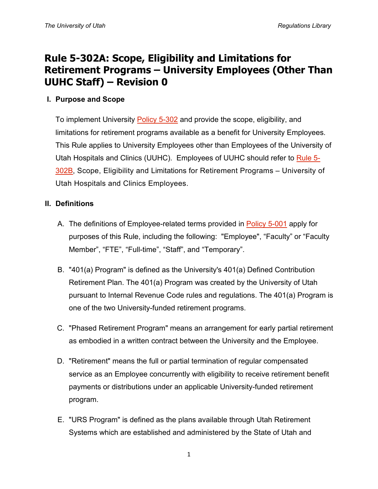# **Rule 5-302A: Scope, Eligibility and Limitations for Retirement Programs – University Employees (Other Than UUHC Staff) – Revision 0**

### **I. Purpose and Scope**

To implement University [Policy 5-302](http://regulations.utah.edu/human-resources/5-302.php) and provide the scope, eligibility, and limitations for retirement programs available as a benefit for University Employees. This Rule applies to University Employees other than Employees of the University of Utah Hospitals and Clinics (UUHC). Employees of UUHC should refer to [Rule 5-](http://regulations.utah.edu/human-resources/rules/rule_5-200B.php) [302B,](http://regulations.utah.edu/human-resources/rules/rule_5-200B.php) Scope, Eligibility and Limitations for Retirement Programs – University of Utah Hospitals and Clinics Employees.

### **II. Definitions**

- A. The definitions of Employee-related terms provided in [Policy 5-001](http://regulations.utah.edu/human-resources/5-001.php) apply for purposes of this Rule, including the following: "Employee", "Faculty" or "Faculty Member", "FTE", "Full-time", "Staff", and "Temporary".
- B. "401(a) Program" is defined as the University's 401(a) Defined Contribution Retirement Plan. The 401(a) Program was created by the University of Utah pursuant to Internal Revenue Code rules and regulations. The 401(a) Program is one of the two University-funded retirement programs.
- C. "Phased Retirement Program" means an arrangement for early partial retirement as embodied in a written contract between the University and the Employee.
- D. "Retirement" means the full or partial termination of regular compensated service as an Employee concurrently with eligibility to receive retirement benefit payments or distributions under an applicable University-funded retirement program.
- E. "URS Program" is defined as the plans available through Utah Retirement Systems which are established and administered by the State of Utah and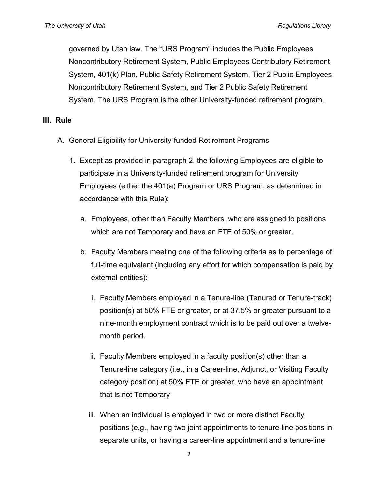governed by Utah law. The "URS Program" includes the Public Employees Noncontributory Retirement System, Public Employees Contributory Retirement System, 401(k) Plan, Public Safety Retirement System, Tier 2 Public Employees Noncontributory Retirement System, and Tier 2 Public Safety Retirement System. The URS Program is the other University-funded retirement program.

#### **III. Rule**

- A. General Eligibility for University-funded Retirement Programs
	- 1. Except as provided in paragraph 2, the following Employees are eligible to participate in a University-funded retirement program for University Employees (either the 401(a) Program or URS Program, as determined in accordance with this Rule):
		- a. Employees, other than Faculty Members, who are assigned to positions which are not Temporary and have an FTE of 50% or greater.
		- b. Faculty Members meeting one of the following criteria as to percentage of full-time equivalent (including any effort for which compensation is paid by external entities):
			- i. Faculty Members employed in a Tenure-line (Tenured or Tenure-track) position(s) at 50% FTE or greater, or at 37.5% or greater pursuant to a nine-month employment contract which is to be paid out over a twelvemonth period.
			- ii. Faculty Members employed in a faculty position(s) other than a Tenure-line category (i.e., in a Career-line, Adjunct, or Visiting Faculty category position) at 50% FTE or greater, who have an appointment that is not Temporary
			- iii. When an individual is employed in two or more distinct Faculty positions (e.g., having two joint appointments to tenure-line positions in separate units, or having a career-line appointment and a tenure-line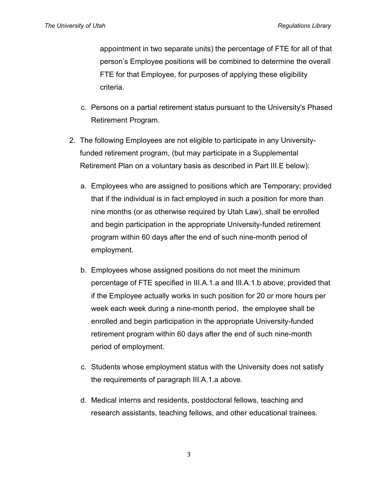appointment in two separate units) the percentage of FTE for all of that person's Employee positions will be combined to determine the overall FTE for that Employee, for purposes of applying these eligibility criteria.

- c. Persons on a partial retirement status pursuant to the University's Phased Retirement Program.
- 2. The following Employees are not eligible to participate in any Universityfunded retirement program, (but may participate in a Supplemental Retirement Plan on a voluntary basis as described in Part III.E below):
	- a. Employees who are assigned to positions which are Temporary; provided that if the individual is in fact employed in such a position for more than nine months (or as otherwise required by Utah Law), shall be enrolled and begin participation in the appropriate University-funded retirement program within 60 days after the end of such nine-month period of employment.
	- b. Employees whose assigned positions do not meet the minimum percentage of FTE specified in III.A.1.a and III.A.1.b above; provided that if the Employee actually works in such position for 20 or more hours per week each week during a nine-month period, the employee shall be enrolled and begin participation in the appropriate University-funded retirement program within 60 days after the end of such nine-month period of employment.
	- c. Students whose employment status with the University does not satisfy the requirements of paragraph III.A.1.a above.
	- d. Medical interns and residents, postdoctoral fellows, teaching and research assistants, teaching fellows, and other educational trainees.

3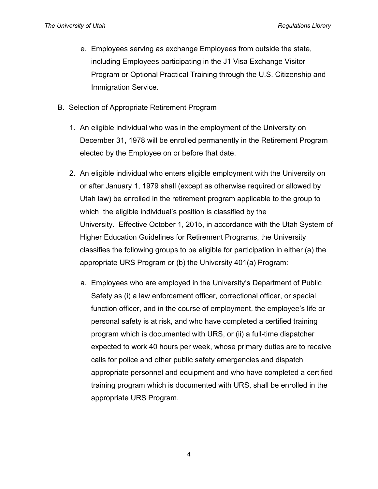- e. Employees serving as exchange Employees from outside the state, including Employees participating in the J1 Visa Exchange Visitor Program or Optional Practical Training through the U.S. Citizenship and Immigration Service.
- B. Selection of Appropriate Retirement Program
	- 1. An eligible individual who was in the employment of the University on December 31, 1978 will be enrolled permanently in the Retirement Program elected by the Employee on or before that date.
	- 2. An eligible individual who enters eligible employment with the University on or after January 1, 1979 shall (except as otherwise required or allowed by Utah law) be enrolled in the retirement program applicable to the group to which the eligible individual's position is classified by the University. Effective October 1, 2015, in accordance with the Utah System of Higher Education Guidelines for Retirement Programs, the University classifies the following groups to be eligible for participation in either (a) the appropriate URS Program or (b) the University 401(a) Program:
		- a. Employees who are employed in the University's Department of Public Safety as (i) a law enforcement officer, correctional officer, or special function officer, and in the course of employment, the employee's life or personal safety is at risk, and who have completed a certified training program which is documented with URS, or (ii) a full-time dispatcher expected to work 40 hours per week, whose primary duties are to receive calls for police and other public safety emergencies and dispatch appropriate personnel and equipment and who have completed a certified training program which is documented with URS, shall be enrolled in the appropriate URS Program.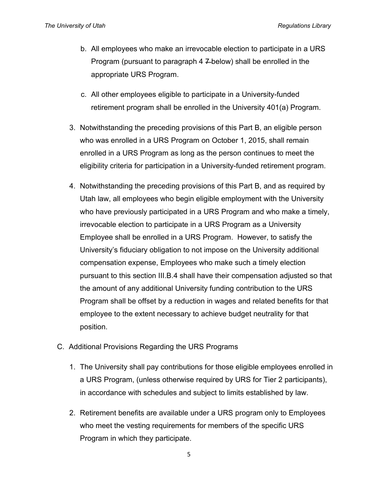- b. All employees who make an irrevocable election to participate in a URS Program (pursuant to paragraph  $4 \neq$ below) shall be enrolled in the appropriate URS Program.
- c. All other employees eligible to participate in a University-funded retirement program shall be enrolled in the University 401(a) Program.
- 3. Notwithstanding the preceding provisions of this Part B, an eligible person who was enrolled in a URS Program on October 1, 2015, shall remain enrolled in a URS Program as long as the person continues to meet the eligibility criteria for participation in a University-funded retirement program.
- 4. Notwithstanding the preceding provisions of this Part B, and as required by Utah law, all employees who begin eligible employment with the University who have previously participated in a URS Program and who make a timely, irrevocable election to participate in a URS Program as a University Employee shall be enrolled in a URS Program. However, to satisfy the University's fiduciary obligation to not impose on the University additional compensation expense, Employees who make such a timely election pursuant to this section III.B.4 shall have their compensation adjusted so that the amount of any additional University funding contribution to the URS Program shall be offset by a reduction in wages and related benefits for that employee to the extent necessary to achieve budget neutrality for that position.
- C. Additional Provisions Regarding the URS Programs
	- 1. The University shall pay contributions for those eligible employees enrolled in a URS Program, (unless otherwise required by URS for Tier 2 participants), in accordance with schedules and subject to limits established by law.
	- 2. Retirement benefits are available under a URS program only to Employees who meet the vesting requirements for members of the specific URS Program in which they participate.

5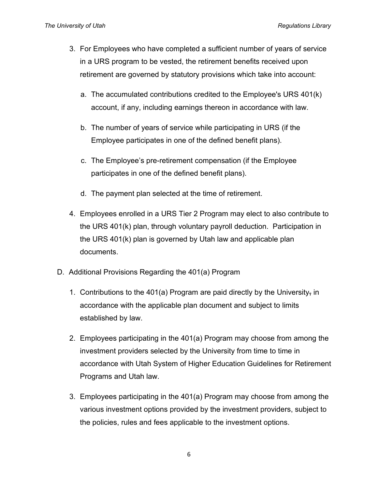- 3. For Employees who have completed a sufficient number of years of service in a URS program to be vested, the retirement benefits received upon retirement are governed by statutory provisions which take into account:
	- a. The accumulated contributions credited to the Employee's URS 401(k) account, if any, including earnings thereon in accordance with law.
	- b. The number of years of service while participating in URS (if the Employee participates in one of the defined benefit plans).
	- c. The Employee's pre-retirement compensation (if the Employee participates in one of the defined benefit plans).
	- d. The payment plan selected at the time of retirement.
- 4. Employees enrolled in a URS Tier 2 Program may elect to also contribute to the URS 401(k) plan, through voluntary payroll deduction. Participation in the URS 401(k) plan is governed by Utah law and applicable plan documents.
- D. Additional Provisions Regarding the 401(a) Program
	- 1. Contributions to the 401(a) Program are paid directly by the University, in accordance with the applicable plan document and subject to limits established by law.
	- 2. Employees participating in the 401(a) Program may choose from among the investment providers selected by the University from time to time in accordance with Utah System of Higher Education Guidelines for Retirement Programs and Utah law.
	- 3. Employees participating in the 401(a) Program may choose from among the various investment options provided by the investment providers, subject to the policies, rules and fees applicable to the investment options.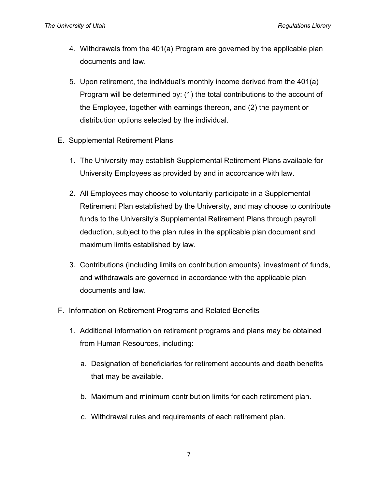- 4. Withdrawals from the 401(a) Program are governed by the applicable plan documents and law.
- 5. Upon retirement, the individual's monthly income derived from the 401(a) Program will be determined by: (1) the total contributions to the account of the Employee, together with earnings thereon, and (2) the payment or distribution options selected by the individual.
- E. Supplemental Retirement Plans
	- 1. The University may establish Supplemental Retirement Plans available for University Employees as provided by and in accordance with law.
	- 2. All Employees may choose to voluntarily participate in a Supplemental Retirement Plan established by the University, and may choose to contribute funds to the University's Supplemental Retirement Plans through payroll deduction, subject to the plan rules in the applicable plan document and maximum limits established by law.
	- 3. Contributions (including limits on contribution amounts), investment of funds, and withdrawals are governed in accordance with the applicable plan documents and law.
- F. Information on Retirement Programs and Related Benefits
	- 1. Additional information on retirement programs and plans may be obtained from Human Resources, including:
		- a. Designation of beneficiaries for retirement accounts and death benefits that may be available.
		- b. Maximum and minimum contribution limits for each retirement plan.
		- c. Withdrawal rules and requirements of each retirement plan.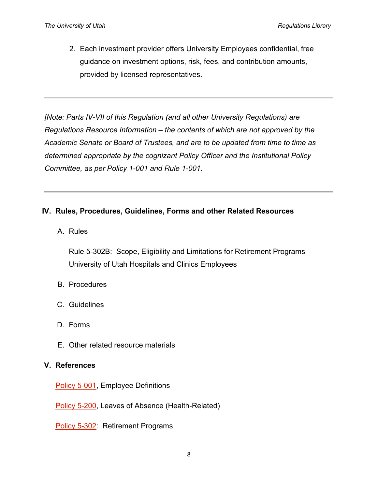2. Each investment provider offers University Employees confidential, free guidance on investment options, risk, fees, and contribution amounts, provided by licensed representatives.

*[Note: Parts IV-VII of this Regulation (and all other University Regulations) are Regulations Resource Information – the contents of which are not approved by the Academic Senate or Board of Trustees, and are to be updated from time to time as determined appropriate by the cognizant Policy Officer and the Institutional Policy Committee, as per Policy 1-001 and Rule 1-001.*

# **IV. Rules, Procedures, Guidelines, Forms and other Related Resources**

A. Rules

Rule 5-302B: Scope, Eligibility and Limitations for Retirement Programs – University of Utah Hospitals and Clinics Employees

- B. Procedures
- C. Guidelines
- D. Forms
- E. Other related resource materials

#### **V. References**

[Policy 5-001,](http://regulations.utah.edu/human-resources/5-001.php) Employee Definitions

[Policy 5-200,](http://regulations.utah.edu/human-resources/5-200.php) Leaves of Absence (Health-Related)

[Policy 5-302:](http://regulations.utah.edu/human-resources/5-302.php) Retirement Programs